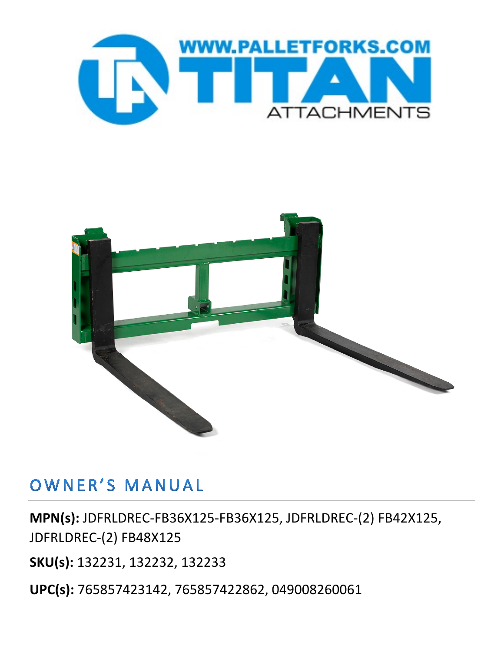



## OWNER'S MANUAL

**MPN(s):** JDFRLDREC-FB36X125-FB36X125, JDFRLDREC-(2) FB42X125, JDFRLDREC-(2) FB48X125

**SKU(s):** 132231, 132232, 132233

**UPC(s):** 765857423142, 765857422862, 049008260061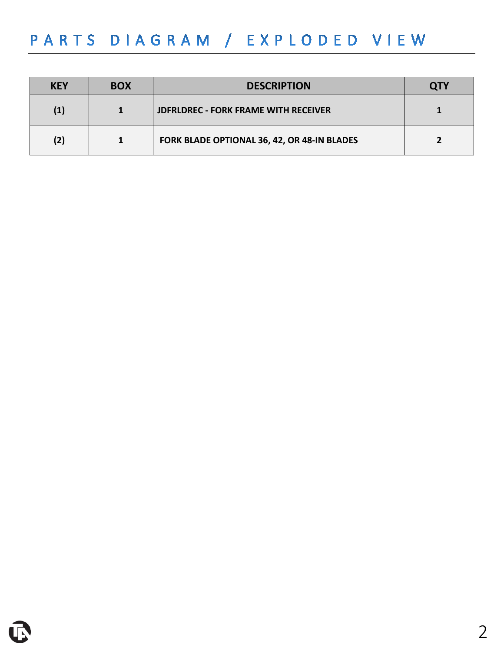## PARTS DIAGRAM / EXPLODED VIEW

| <b>KEY</b> | <b>BOX</b> | <b>DESCRIPTION</b>                          | <b>OTY</b> |
|------------|------------|---------------------------------------------|------------|
| (1)        |            | <b>JDFRLDREC - FORK FRAME WITH RECEIVER</b> |            |
| (2)        |            | FORK BLADE OPTIONAL 36, 42, OR 48-IN BLADES |            |